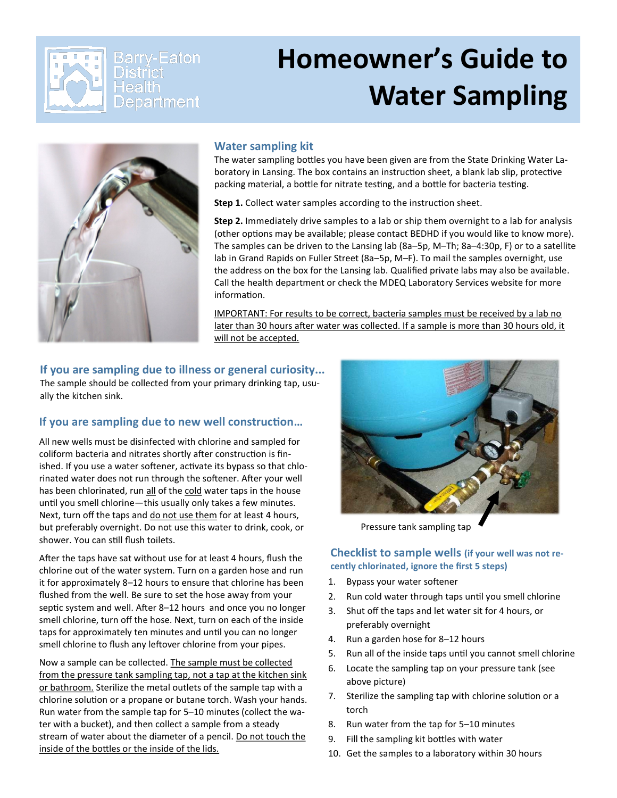

# **Homeowner's Guide to Water Sampling**



#### **Water sampling kit**

The water sampling bottles you have been given are from the State Drinking Water Laboratory in Lansing. The box contains an instruction sheet, a blank lab slip, protective packing material, a bottle for nitrate testing, and a bottle for bacteria testing.

**Step 1.** Collect water samples according to the instruction sheet.

**Step 2.** Immediately drive samples to a lab or ship them overnight to a lab for analysis (other options may be available; please contact BEDHD if you would like to know more). The samples can be driven to the Lansing lab (8a–5p, M–Th; 8a–4:30p, F) or to a satellite lab in Grand Rapids on Fuller Street (8a–5p, M–F). To mail the samples overnight, use the address on the box for the Lansing lab. Qualified private labs may also be available. Call the health department or check the MDEQ Laboratory Services website for more information.

IMPORTANT: For results to be correct, bacteria samples must be received by a lab no later than 30 hours after water was collected. If a sample is more than 30 hours old, it will not be accepted.

**If you are sampling due to illness or general curiosity...**  The sample should be collected from your primary drinking tap, usually the kitchen sink.

#### **If you are sampling due to new well construction…**

All new wells must be disinfected with chlorine and sampled for coliform bacteria and nitrates shortly after construction is finished. If you use a water softener, activate its bypass so that chlorinated water does not run through the softener. After your well has been chlorinated, run all of the cold water taps in the house until you smell chlorine—this usually only takes a few minutes. Next, turn off the taps and do not use them for at least 4 hours, but preferably overnight. Do not use this water to drink, cook, or shower. You can still flush toilets.

After the taps have sat without use for at least 4 hours, flush the chlorine out of the water system. Turn on a garden hose and run it for approximately 8–12 hours to ensure that chlorine has been flushed from the well. Be sure to set the hose away from your septic system and well. After 8–12 hours and once you no longer smell chlorine, turn off the hose. Next, turn on each of the inside taps for approximately ten minutes and until you can no longer smell chlorine to flush any leftover chlorine from your pipes.

Now a sample can be collected. The sample must be collected from the pressure tank sampling tap, not a tap at the kitchen sink or bathroom. Sterilize the metal outlets of the sample tap with a chlorine solution or a propane or butane torch. Wash your hands. Run water from the sample tap for 5–10 minutes (collect the water with a bucket), and then collect a sample from a steady stream of water about the diameter of a pencil. Do not touch the inside of the bottles or the inside of the lids.



Pressure tank sampling tap

**Checklist to sample wells (if your well was not recently chlorinated, ignore the first 5 steps)**

- 1. Bypass your water softener
- 2. Run cold water through taps until you smell chlorine
- 3. Shut off the taps and let water sit for 4 hours, or preferably overnight
- 4. Run a garden hose for 8–12 hours
- 5. Run all of the inside taps until you cannot smell chlorine
- 6. Locate the sampling tap on your pressure tank (see above picture)
- 7. Sterilize the sampling tap with chlorine solution or a torch
- 8. Run water from the tap for 5–10 minutes
- 9. Fill the sampling kit bottles with water
- 10. Get the samples to a laboratory within 30 hours